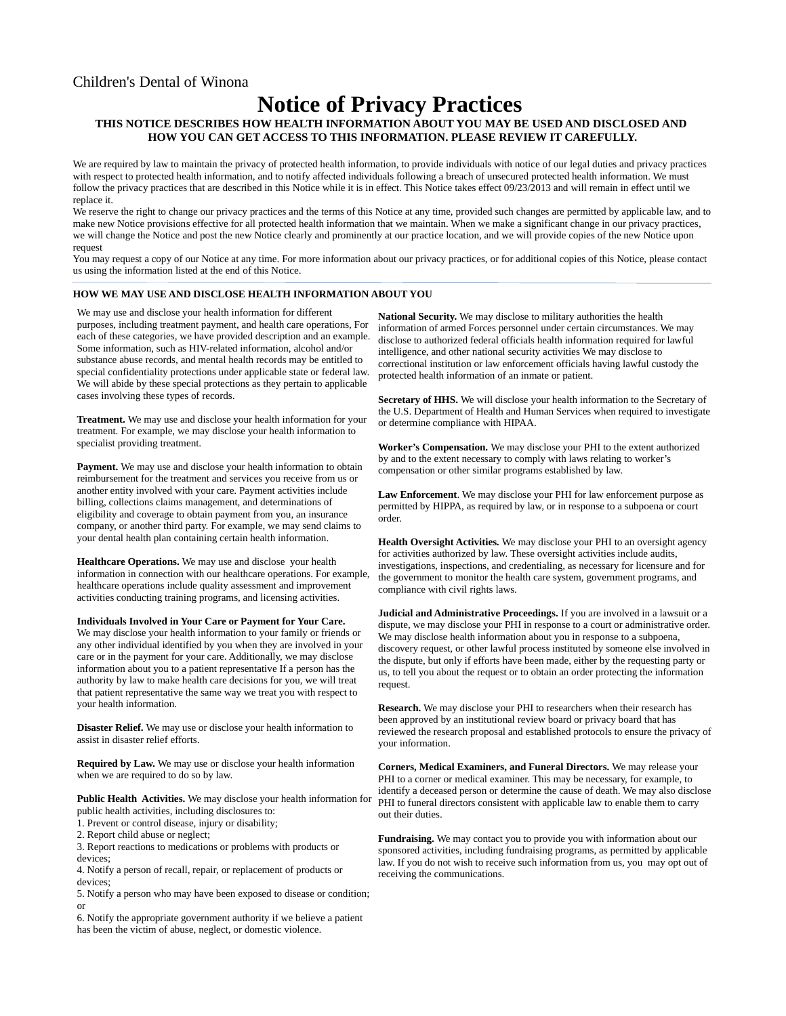## Children's Dental of Winona

# Notice of Privacy Practices

## THIS NOTICE DESCRIBES HOW HEALTH INFORMATION ABOUT YOU MAY BE USED AND DISCLOSED AND HOW YOU CAN GET ACCESS TO THIS INFORMATION. PLEASE REVIEW IT CAREFULLY.

We are required by law to maintain the privacy of protected health information, to provide individuals with notice of our legal duties and privacy practices with respect to protected health information, and to notify affected individuals following a breach of unsecured protected health information. We must follow the privacy practices that are described in this Notice while it is in effect. This Notice takes effect 09/23/2013 and will remain in effect until we replace it.

We reserve the right to change our privacy practices and the terms of this Notice at any time, provided such changes are permitted by applicable law, and to make new Notice provisions effective for all protected health information that we maintain. When we make a significant change in our privacy practices, we will change the Notice and post the new Notice clearly and prominently at our practice location, and we will provide copies of the new Notice upon request

You may request a copy of our Notice at any time. For more information about our privacy practices, or for additional copies of this Notice, please contact us using the information listed at the end of this Notice.

#### HOW WE MAY USE AND DISCLOSE HEALTH INFORMATION ABOUT YOU

We may use and disclose your health information for different purposes, including treatment payment, and health care operations, For each of these categories, we have provided description and an example. Some information, such as HIV-related information, alcohol and/or substance abuse records, and mental health records may be entitled to special confidentiality protections under applicable state or federal law. We will abide by these special protections as they pertain to applicable cases involving these types of records.

Treatment. We may use and disclose your health information for your treatment. For example, we may disclose your health information to specialist providing treatment.

Payment. We may use and disclose your health information to obtain reimbursement for the treatment and services you receive from us or another entity involved with your care. Payment activities include billing, collections claims management, and determinations of eligibility and coverage to obtain payment from you, an insurance company, or another third party. For example, we may send claims to your dental health plan containing certain health information.

Healthcare Operations. We may use and disclose your health information in connection with our healthcare operations. For example, healthcare operations include quality assessment and improvement activities conducting training programs, and licensing activities.

Individuals Involved in Your Care or Payment for Your Care.

We may disclose your health information to your family or friends or any other individual identified by you when they are involved in your care or in the payment for your care. Additionally, we may disclose information about you to a patient representative If a person has the authority by law to make health care decisions for you, we will treat that patient representative the same way we treat you with respect to your health information.

Disaster Relief. We may use or disclose your health information to assist in disaster relief efforts.

Required by Law. We may use or disclose your health information when we are required to do so by law.

Public Health Activities. We may disclose your health information for public health activities, including disclosures to:

1. Prevent or control disease, injury or disability;

2. Report child abuse or neglect;

3. Report reactions to medications or problems with products or devices;

4. Notify a person of recall, repair, or replacement of products or devices;

5. Notify a person who may have been exposed to disease or condition; **O** 

6. Notify the appropriate government authority if we believe a patient has been the victim of abuse, neglect, or domestic violence.

National Security. We may disclose to military authorities the health information of armed Forces personnel under certain circumstances. We may disclose to authorized federal officials health information required for lawful intelligence, and other national security activities We may disclose to correctional institution or law enforcement officials having lawful custody the protected health information of an inmate or patient.

Secretary of HHS. We will disclose your health information to the Secretary of the U.S. Department of Health and Human Services when required to investigate or determine compliance with HIPAA.

Worker's Compensation. We may disclose your PHI to the extent authorized by and to the extent necessary to comply with laws relating to worker's compensation or other similar programs established by law.

Law Enforcement. We may disclose your PHI for law enforcement purpose as permitted by HIPPA, as required by law, or in response to a subpoena or court order.

Health Oversight Activities. We may disclose your PHI to an oversight agency for activities authorized by law. These oversight activities include audits, investigations, inspections, and credentialing, as necessary for licensure and for the government to monitor the health care system, government programs, and compliance with civil rights laws.

Judicial and Administrative Proceedings. If you are involved in a lawsuit or a dispute, we may disclose your PHI in response to a court or administrative order. We may disclose health information about you in response to a subpoena, discovery request, or other lawful process instituted by someone else involved in the dispute, but only if efforts have been made, either by the requesting party or us, to tell you about the request or to obtain an order protecting the information request.

Research. We may disclose your PHI to researchers when their research has been approved by an institutional review board or privacy board that has reviewed the research proposal and established protocols to ensure the privacy of your information.

Corners, Medical Examiners, and Funeral Directors. We may release your PHI to a corner or medical examiner. This may be necessary, for example, to identify a deceased person or determine the cause of death. We may also disclose PHI to funeral directors consistent with applicable law to enable them to carry out their duties.

Fundraising. We may contact you to provide you with information about our sponsored activities, including fundraising programs, as permitted by applicable law. If you do not wish to receive such information from us, you may opt out of receiving the communications.